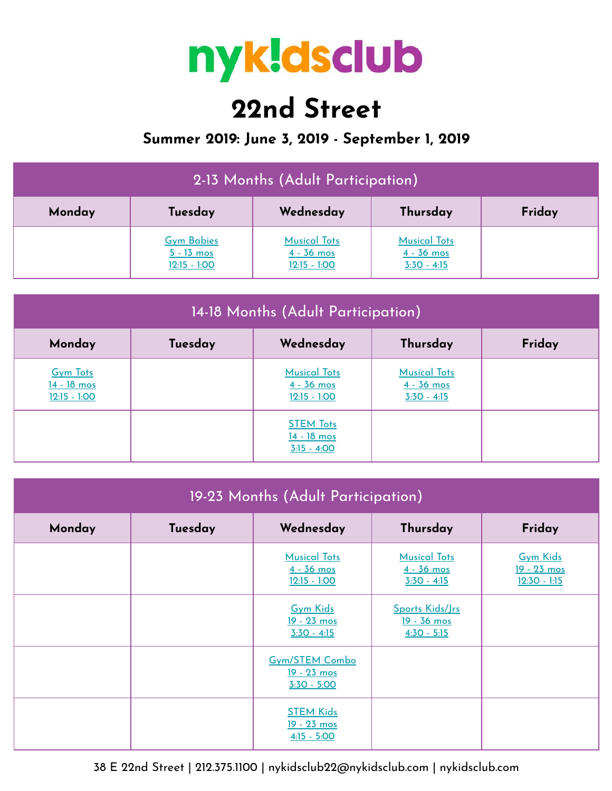

## **22nd Street**

## **Summer 2019: June 3, 2019 - September 1, 2019**

| 2-13 Months (Adult Participation) |                                                     |                                                       |                                                      |        |  |
|-----------------------------------|-----------------------------------------------------|-------------------------------------------------------|------------------------------------------------------|--------|--|
| Monday                            | Tuesday                                             | Wednesday                                             | Thursday                                             | Friday |  |
|                                   | <b>Gym Babies</b><br>$5 - 13$ mos<br>$12:15 - 1:00$ | <b>Musical Tots</b><br>$4 - 36$ mos<br>$12:15 - 1:00$ | <b>Musical Tots</b><br>$4 - 36$ mos<br>$3:30 - 4:15$ |        |  |

| 14-18 Months (Adult Participation)               |         |                                                       |                                                      |        |  |
|--------------------------------------------------|---------|-------------------------------------------------------|------------------------------------------------------|--------|--|
| Monday                                           | Tuesday | Wednesday                                             | Thursday                                             | Friday |  |
| <b>Gym Tots</b><br>14 - 18 mos<br>$12:15 - 1:00$ |         | <b>Musical Tots</b><br>$4 - 36$ mos<br>$12:15 - 1:00$ | <b>Musical Tots</b><br>$4 - 36$ mos<br>$3:30 - 4:15$ |        |  |
|                                                  |         | <b>STEM Tots</b><br>14 - 18 mos<br>$3:15 - 4:00$      |                                                      |        |  |

| 19-23 Months (Adult Participation) |         |                                                       |                                                        |                                                         |  |
|------------------------------------|---------|-------------------------------------------------------|--------------------------------------------------------|---------------------------------------------------------|--|
| Monday                             | Tuesday | Wednesday                                             | Thursday                                               | Friday                                                  |  |
|                                    |         | <b>Musical Tots</b><br>$4 - 36$ mos<br>$12:15 - 1:00$ | <b>Musical Tots</b><br>$4 - 36$ mos<br>$3:30 - 4:15$   | <b>Gym Kids</b><br><u>19 - 23 mos</u><br>$12:30 - 1:15$ |  |
|                                    |         | <b>Gym Kids</b><br>19 - 23 mos<br>$3:30 - 4:15$       | Sports Kids/Jrs<br><u>19 - 36 mos</u><br>$4:30 - 5:15$ |                                                         |  |
|                                    |         | <b>Gym/STEM Combo</b><br>19 - 23 mos<br>$3:30 - 5:00$ |                                                        |                                                         |  |
|                                    |         | <b>STEM Kids</b><br>19 - 23 mos<br>$4:15 - 5:00$      |                                                        |                                                         |  |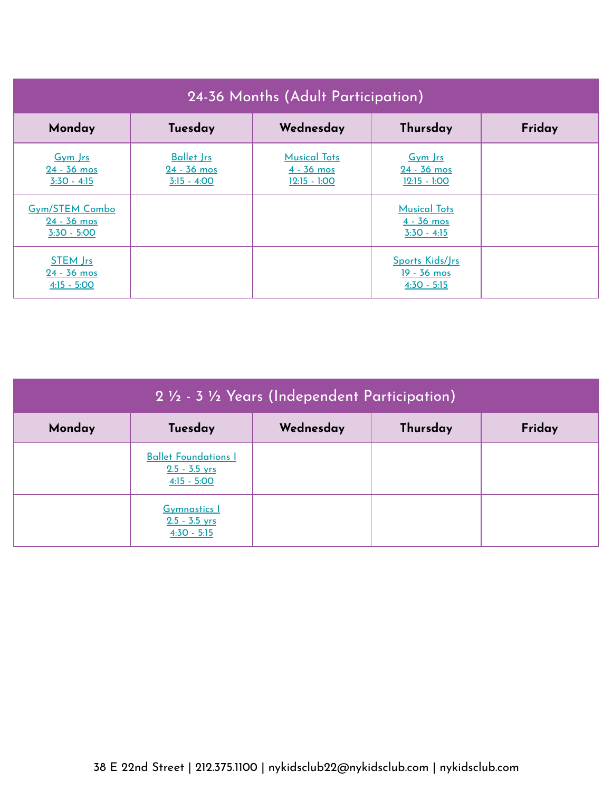| 24-36 Months (Adult Participation)                      |                                                     |                                                       |                                                        |        |  |
|---------------------------------------------------------|-----------------------------------------------------|-------------------------------------------------------|--------------------------------------------------------|--------|--|
| Monday                                                  | Tuesday                                             | Wednesday                                             | Thursday                                               | Friday |  |
| Gym Irs<br>$24 - 36$ mos<br>$3:30 - 4:15$               | <b>Ballet Jrs</b><br>$24 - 36$ mos<br>$3:15 - 4:00$ | <b>Musical Tots</b><br>$4 - 36$ mos<br>$12:15 - 1:00$ | Gym Irs<br>$24 - 36$ mos<br>$12:15 - 1:00$             |        |  |
| <b>Gym/STEM Combo</b><br>$24 - 36$ mos<br>$3:30 - 5:00$ |                                                     |                                                       | <b>Musical Tots</b><br>$4 - 36$ mos<br>$3:30 - 4:15$   |        |  |
| <b>STEM Jrs</b><br>$24 - 36$ mos<br>$4:15 - 5:00$       |                                                     |                                                       | Sports Kids/Jrs<br><u>19 - 36 mos</u><br>$4:30 - 5:15$ |        |  |

| 2 1/2 - 3 1/2 Years (Independent Participation) |                                                                 |           |          |        |  |
|-------------------------------------------------|-----------------------------------------------------------------|-----------|----------|--------|--|
| Monday                                          | Tuesday                                                         | Wednesday | Thursday | Friday |  |
|                                                 | <b>Ballet Foundations I</b><br>$2.5 - 3.5$ yrs<br>$4:15 - 5:00$ |           |          |        |  |
|                                                 | <b>Gymnastics 1</b><br>$2.5 - 3.5$ yrs<br>$4:30 - 5:15$         |           |          |        |  |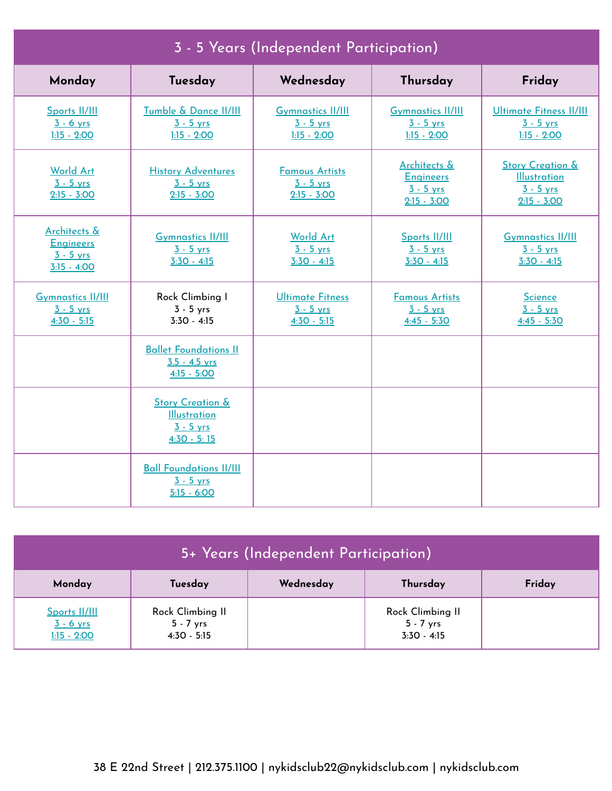| 3 - 5 Years (Independent Participation)                          |                                                                                    |                                                          |                                                                             |                                                                                    |  |
|------------------------------------------------------------------|------------------------------------------------------------------------------------|----------------------------------------------------------|-----------------------------------------------------------------------------|------------------------------------------------------------------------------------|--|
| Monday                                                           | Tuesday                                                                            | Wednesday                                                | Thursday                                                                    | Friday                                                                             |  |
| Sports II/III<br>$3 - 6$ yrs<br>$1:15 - 2:00$                    | Tumble & Dance II/III<br>$3 - 5$ yrs<br>$1:15 - 2:00$                              | <b>Gymnastics II/III</b><br>$3 - 5$ yrs<br>$1:15 - 2:00$ | <b>Gymnastics II/III</b><br>$3 - 5$ yrs<br>$1:15 - 2:00$                    | <b>Ultimate Fitness II/III</b><br>$3 - 5$ yrs<br>$1:15 - 2:00$                     |  |
| <b>World Art</b><br>$3 - 5$ yrs<br>$2:15 - 3:00$                 | <b>History Adventures</b><br>$3 - 5$ yrs<br>$2:15 - 3:00$                          | <b>Famous Artists</b><br>$3 - 5$ yrs<br>$2:15 - 3:00$    | <b>Architects &amp;</b><br><b>Engineers</b><br>$3 - 5$ yrs<br>$2:15 - 3:00$ | <b>Story Creation &amp;</b><br><b>Illustration</b><br>$3 - 5$ yrs<br>$2:15 - 3:00$ |  |
| Architects &<br><b>Engineers</b><br>$3 - 5$ yrs<br>$3:15 - 4:00$ | <b>Gymnastics II/III</b><br>$3 - 5$ yrs<br>$3:30 - 4:15$                           | <b>World Art</b><br>$3 - 5$ yrs<br>$3:30 - 4:15$         | Sports II/III<br>$3 - 5$ yrs<br>$3:30 - 4:15$                               | <b>Gymnastics II/III</b><br>$3 - 5$ yrs<br>$3:30 - 4:15$                           |  |
| <b>Gymnastics II/III</b><br>$3 - 5$ yrs<br>$4:30 - 5:15$         | Rock Climbing I<br>$3 - 5$ yrs<br>$3:30 - 4:15$                                    | <b>Ultimate Fitness</b><br>$3 - 5$ yrs<br>$4:30 - 5:15$  | <b>Famous Artists</b><br>$3 - 5$ yrs<br>$4:45 - 5:30$                       | <b>Science</b><br>$3 - 5$ yrs<br>$4:45 - 5:30$                                     |  |
|                                                                  | <b>Ballet Foundations II</b><br>$3.5 - 4.5$ yrs<br>$4:15 - 5:00$                   |                                                          |                                                                             |                                                                                    |  |
|                                                                  | <b>Story Creation &amp;</b><br><b>Illustration</b><br>$3 - 5$ yrs<br>$4:30 - 5:15$ |                                                          |                                                                             |                                                                                    |  |
|                                                                  | <b>Ball Foundations II/III</b><br>$3 - 5$ yrs<br>$5:15 - 6:00$                     |                                                          |                                                                             |                                                                                    |  |

| 5+ Years (Independent Participation)          |                                                  |           |                                                  |        |  |
|-----------------------------------------------|--------------------------------------------------|-----------|--------------------------------------------------|--------|--|
| Monday                                        | Tuesday                                          | Wednesday | Thursday                                         | Friday |  |
| Sports II/III<br>$3 - 6$ yrs<br>$1:15 - 2:00$ | Rock Climbing II<br>$5 - 7$ yrs<br>$4:30 - 5:15$ |           | Rock Climbing II<br>$5 - 7$ yrs<br>$3:30 - 4:15$ |        |  |